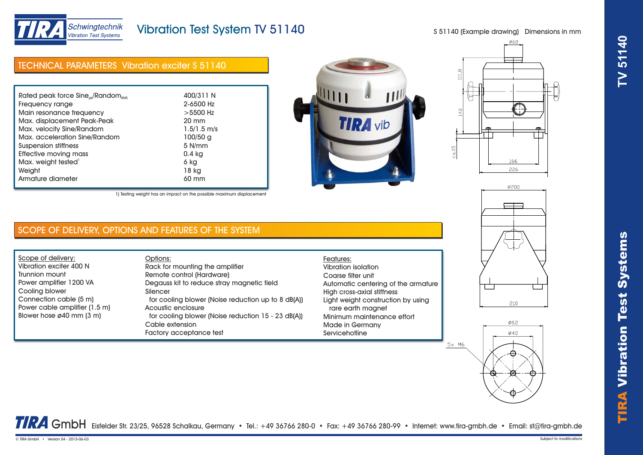

# Vibration Test System TV 51140

S 51140 (Example drawing) Dimensions in mm

| <b>TECHNICAL PARAMETERS</b> Vibration exciter S 51140   |                 |
|---------------------------------------------------------|-----------------|
|                                                         |                 |
| Rated peak force $Sine_{\text{nk}}/Random_{\text{RMS}}$ | 400/311 N       |
| Frequency range                                         | 2-6500 Hz       |
| Main resonance frequency                                | $>5500$ Hz      |
| Max. displacement Peak-Peak                             | $20 \text{ mm}$ |
| Max. velocity Sine/Random                               | $1.5/1.5$ m/s   |
| Max. acceleration Sine/Random                           | 100/50 g        |
| Suspension stiffness                                    | 5 N/mm          |
| Effective moving mass                                   | 0.4 kg          |
| Max. weight tested <sup>1</sup>                         | 6 kg            |
| Weight                                                  | 18 kg           |





1) Testing weight has an impact on the possible maximum displacement

## SCOPE OF DELIVERY, OPTIONS AND FEATURES OF THE SYSTEM

Armature diameter 60 mm

Scope of delivery: Vibration exciter 400 N Trunnion mount Power amplifier 1200 VA Cooling blower Connection cable (5 m) Power cable amplifier (1.5 m) Blower hose ø40 mm (3 m)

#### Options: Rack for mounting the amplifier Remote control (Hardware) Degauss kit to reduce stray magnetic field Silencer for cooling blower (Noise reduction up to 8 dB(A)) Acoustic enclosure for cooling blower (Noise reduction 15 - 23 dB(A)) Cable extension Factory acceptance test

### Features: Vibration isolation Coarse filter unit Automatic centering of the armature High cross-axial stiffness Light weight construction by using rare earth magnet Minimum maintenance effort Made in Germany **Servicehotline**

 $5x$  M6





TRA GmbH Eisfelder Str. 23/25, 96528 Schalkau, Germany • Tel.: +49 36766 280-0 • Fax: +49 36766 280-99 • Internet: www.tira-gmbh.de • Email: st@tira-gmbh.de